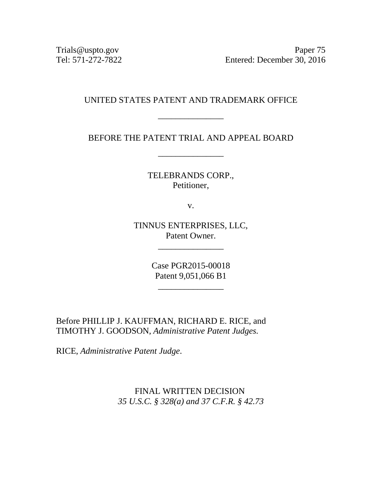Trials@uspto.gov<br>Tel: 571-272-7822 Entered: December 30, 2016 Entered: December 30, 2016

#### UNITED STATES PATENT AND TRADEMARK OFFICE

\_\_\_\_\_\_\_\_\_\_\_\_\_\_\_

BEFORE THE PATENT TRIAL AND APPEAL BOARD

\_\_\_\_\_\_\_\_\_\_\_\_\_\_\_

TELEBRANDS CORP., Petitioner,

v.

TINNUS ENTERPRISES, LLC, Patent Owner.

\_\_\_\_\_\_\_\_\_\_\_\_\_\_\_

Case PGR2015-00018 Patent 9,051,066 B1

\_\_\_\_\_\_\_\_\_\_\_\_\_\_\_

Before PHILLIP J. KAUFFMAN, RICHARD E. RICE, and TIMOTHY J. GOODSON, *Administrative Patent Judges.*

RICE, *Administrative Patent Judge*.

FINAL WRITTEN DECISION *35 U.S.C. § 328(a) and 37 C.F.R. § 42.73*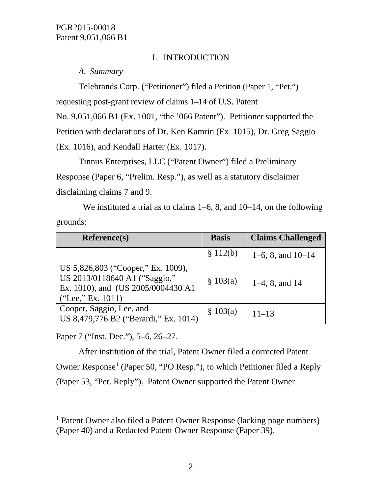## I. INTRODUCTION

*A. Summary*

Telebrands Corp. ("Petitioner") filed a Petition (Paper 1, "Pet.") requesting post-grant review of claims 1–14 of U.S. Patent No. 9,051,066 B1 (Ex. 1001, "the '066 Patent"). Petitioner supported the Petition with declarations of Dr. Ken Kamrin (Ex. 1015), Dr. Greg Saggio (Ex. 1016), and Kendall Harter (Ex. 1017).

Tinnus Enterprises, LLC ("Patent Owner") filed a Preliminary Response (Paper 6, "Prelim. Resp."), as well as a statutory disclaimer disclaiming claims 7 and 9.

We instituted a trial as to claims 1–6, 8, and 10–14, on the following grounds:

| <b>Reference(s)</b>                                                                                                            | <b>Basis</b> | <b>Claims Challenged</b> |
|--------------------------------------------------------------------------------------------------------------------------------|--------------|--------------------------|
|                                                                                                                                | \$112(b)     | $1-6$ , 8, and $10-14$   |
| US 5,826,803 ("Cooper," Ex. 1009),<br>US 2013/0118640 A1 ("Saggio,"<br>Ex. 1010), and (US 2005/0004430 A1<br>("Lee," Ex. 1011) | \$103(a)     | $1-4$ , 8, and 14        |
| Cooper, Saggio, Lee, and<br>US 8,479,776 B2 ("Berardi," Ex. 1014)                                                              | \$103(a)     | $11 - 13$                |

Paper 7 ("Inst. Dec."), 5–6, 26–27.

After institution of the trial, Patent Owner filed a corrected Patent Owner Response<sup>[1](#page-1-0)</sup> (Paper 50, "PO Resp."), to which Petitioner filed a Reply (Paper 53, "Pet. Reply"). Patent Owner supported the Patent Owner

<span id="page-1-0"></span> <sup>1</sup> Patent Owner also filed a Patent Owner Response (lacking page numbers) (Paper 40) and a Redacted Patent Owner Response (Paper 39).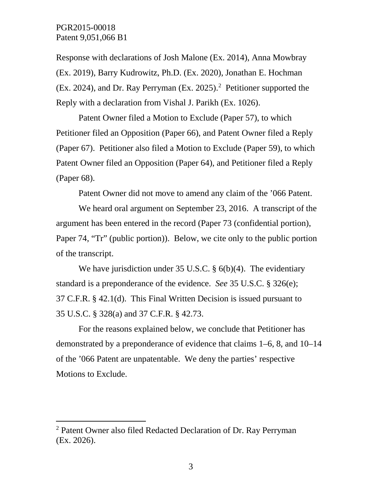Response with declarations of Josh Malone (Ex. 2014), Anna Mowbray (Ex. 2019), Barry Kudrowitz, Ph.D. (Ex. 2020), Jonathan E. Hochman (Ex. 2024), and Dr. Ray Perryman (Ex. 2025).[2](#page-2-0) Petitioner supported the Reply with a declaration from Vishal J. Parikh (Ex. 1026).

Patent Owner filed a Motion to Exclude (Paper 57), to which Petitioner filed an Opposition (Paper 66), and Patent Owner filed a Reply (Paper 67). Petitioner also filed a Motion to Exclude (Paper 59), to which Patent Owner filed an Opposition (Paper 64), and Petitioner filed a Reply (Paper 68).

Patent Owner did not move to amend any claim of the '066 Patent.

We heard oral argument on September 23, 2016. A transcript of the argument has been entered in the record (Paper 73 (confidential portion), Paper 74, "Tr" (public portion)). Below, we cite only to the public portion of the transcript.

We have jurisdiction under 35 U.S.C. § 6(b)(4). The evidentiary standard is a preponderance of the evidence. *See* 35 U.S.C. § 326(e); 37 C.F.R. § 42.1(d). This Final Written Decision is issued pursuant to 35 U.S.C. § 328(a) and 37 C.F.R. § 42.73.

For the reasons explained below, we conclude that Petitioner has demonstrated by a preponderance of evidence that claims 1–6, 8, and 10–14 of the '066 Patent are unpatentable. We deny the parties' respective Motions to Exclude.

<span id="page-2-0"></span> <sup>2</sup> Patent Owner also filed Redacted Declaration of Dr. Ray Perryman (Ex. 2026).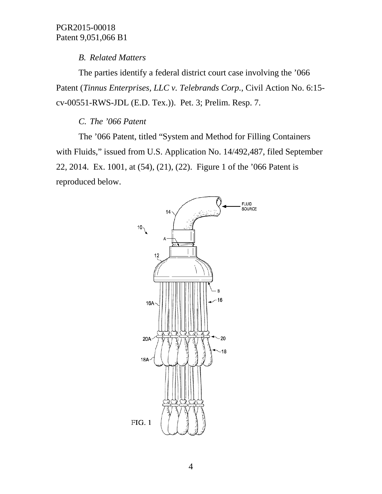## *B. Related Matters*

The parties identify a federal district court case involving the '066 Patent (*Tinnus Enterprises, LLC v. Telebrands Corp.*, Civil Action No. 6:15 cv-00551-RWS-JDL (E.D. Tex.)). Pet. 3; Prelim. Resp. 7.

# *C. The '066 Patent*

The '066 Patent, titled "System and Method for Filling Containers with Fluids," issued from U.S. Application No. 14/492,487, filed September 22, 2014. Ex. 1001, at (54), (21), (22). Figure 1 of the '066 Patent is reproduced below.

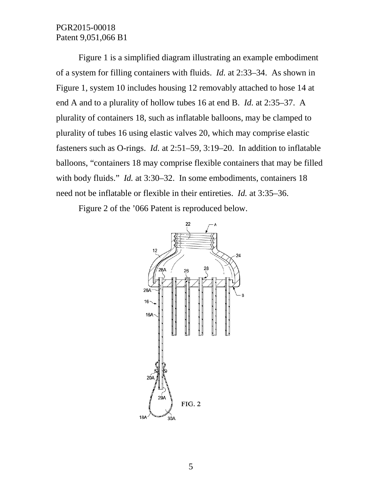Figure 1 is a simplified diagram illustrating an example embodiment of a system for filling containers with fluids. *Id.* at 2:33–34. As shown in Figure 1, system 10 includes housing 12 removably attached to hose 14 at end A and to a plurality of hollow tubes 16 at end B. *Id.* at 2:35–37. A plurality of containers 18, such as inflatable balloons, may be clamped to plurality of tubes 16 using elastic valves 20, which may comprise elastic fasteners such as O-rings. *Id.* at 2:51–59, 3:19–20. In addition to inflatable balloons, "containers 18 may comprise flexible containers that may be filled with body fluids." *Id.* at 3:30–32. In some embodiments, containers 18 need not be inflatable or flexible in their entireties. *Id.* at 3:35–36.

Figure 2 of the '066 Patent is reproduced below.

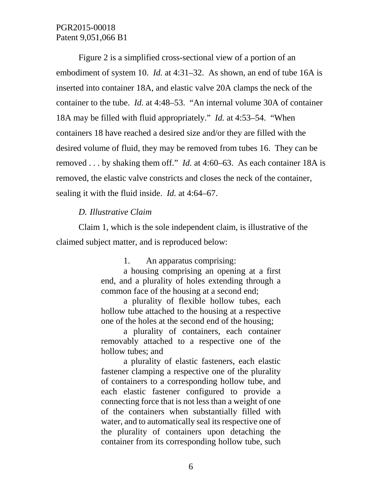Figure 2 is a simplified cross-sectional view of a portion of an embodiment of system 10. *Id.* at 4:31–32. As shown, an end of tube 16A is inserted into container 18A, and elastic valve 20A clamps the neck of the container to the tube. *Id.* at 4:48–53. "An internal volume 30A of container 18A may be filled with fluid appropriately." *Id.* at 4:53–54. "When containers 18 have reached a desired size and/or they are filled with the desired volume of fluid, they may be removed from tubes 16. They can be removed . . . by shaking them off." *Id.* at 4:60–63. As each container 18A is removed, the elastic valve constricts and closes the neck of the container, sealing it with the fluid inside. *Id.* at 4:64–67.

### *D. Illustrative Claim*

Claim 1, which is the sole independent claim, is illustrative of the claimed subject matter, and is reproduced below:

1. An apparatus comprising:

a housing comprising an opening at a first end, and a plurality of holes extending through a common face of the housing at a second end;

a plurality of flexible hollow tubes, each hollow tube attached to the housing at a respective one of the holes at the second end of the housing;

a plurality of containers, each container removably attached to a respective one of the hollow tubes; and

a plurality of elastic fasteners, each elastic fastener clamping a respective one of the plurality of containers to a corresponding hollow tube, and each elastic fastener configured to provide a connecting force that is not less than a weight of one of the containers when substantially filled with water, and to automatically seal its respective one of the plurality of containers upon detaching the container from its corresponding hollow tube, such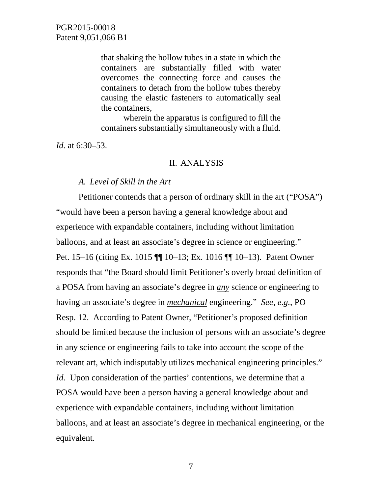that shaking the hollow tubes in a state in which the containers are substantially filled with water overcomes the connecting force and causes the containers to detach from the hollow tubes thereby causing the elastic fasteners to automatically seal the containers,

wherein the apparatus is configured to fill the containers substantially simultaneously with a fluid.

*Id.* at 6:30–53.

#### II. ANALYSIS

#### *A. Level of Skill in the Art*

Petitioner contends that a person of ordinary skill in the art ("POSA") "would have been a person having a general knowledge about and experience with expandable containers, including without limitation balloons, and at least an associate's degree in science or engineering." Pet. 15–16 (citing Ex. 1015 ¶¶ 10–13; Ex. 1016 ¶¶ 10–13). Patent Owner responds that "the Board should limit Petitioner's overly broad definition of a POSA from having an associate's degree in *any* science or engineering to having an associate's degree in *mechanical* engineering." *See*, *e.g.*, PO Resp. 12. According to Patent Owner, "Petitioner's proposed definition should be limited because the inclusion of persons with an associate's degree in any science or engineering fails to take into account the scope of the relevant art, which indisputably utilizes mechanical engineering principles." *Id.* Upon consideration of the parties' contentions, we determine that a POSA would have been a person having a general knowledge about and experience with expandable containers, including without limitation balloons, and at least an associate's degree in mechanical engineering, or the equivalent.

7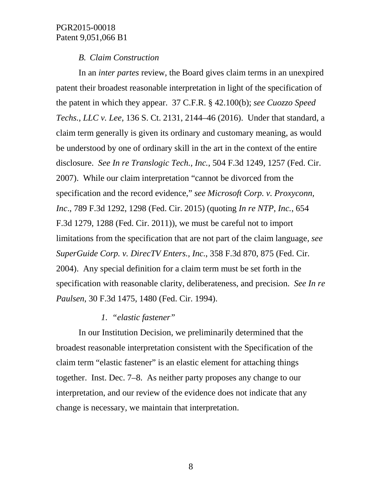### *B. Claim Construction*

In an *inter partes* review, the Board gives claim terms in an unexpired patent their broadest reasonable interpretation in light of the specification of the patent in which they appear. 37 C.F.R. § 42.100(b); *see Cuozzo Speed Techs., LLC v. Lee*, 136 S. Ct. 2131, 2144–46 (2016). Under that standard, a claim term generally is given its ordinary and customary meaning, as would be understood by one of ordinary skill in the art in the context of the entire disclosure. *See In re Translogic Tech., Inc.*, 504 F.3d 1249, 1257 (Fed. Cir. 2007). While our claim interpretation "cannot be divorced from the specification and the record evidence," *see Microsoft Corp. v. Proxyconn, Inc*., 789 F.3d 1292, 1298 (Fed. Cir. 2015) (quoting *In re NTP, Inc.*, 654 F.3d 1279, 1288 (Fed. Cir. 2011)), we must be careful not to import limitations from the specification that are not part of the claim language, *see SuperGuide Corp. v. DirecTV Enters., Inc.*, 358 F.3d 870, 875 (Fed. Cir. 2004). Any special definition for a claim term must be set forth in the specification with reasonable clarity, deliberateness, and precision. *See In re Paulsen*, 30 F.3d 1475, 1480 (Fed. Cir. 1994).

#### *1. "elastic fastener"*

In our Institution Decision, we preliminarily determined that the broadest reasonable interpretation consistent with the Specification of the claim term "elastic fastener" is an elastic element for attaching things together. Inst. Dec. 7–8. As neither party proposes any change to our interpretation, and our review of the evidence does not indicate that any change is necessary, we maintain that interpretation.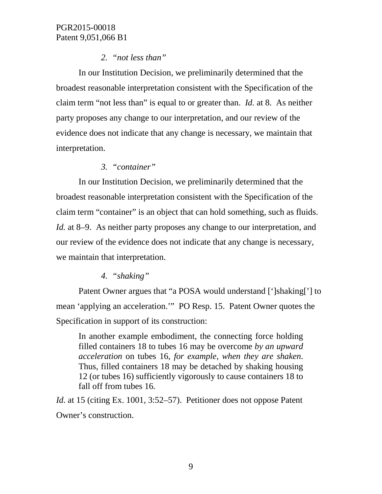## *2. "not less than"*

In our Institution Decision, we preliminarily determined that the broadest reasonable interpretation consistent with the Specification of the claim term "not less than" is equal to or greater than. *Id.* at 8. As neither party proposes any change to our interpretation, and our review of the evidence does not indicate that any change is necessary, we maintain that interpretation.

## *3. "container"*

In our Institution Decision, we preliminarily determined that the broadest reasonable interpretation consistent with the Specification of the claim term "container" is an object that can hold something, such as fluids. *Id.* at 8–9. As neither party proposes any change to our interpretation, and our review of the evidence does not indicate that any change is necessary, we maintain that interpretation.

## *4. "shaking"*

Patent Owner argues that "a POSA would understand [']shaking['] to mean 'applying an acceleration.'" PO Resp. 15. Patent Owner quotes the Specification in support of its construction:

In another example embodiment, the connecting force holding filled containers 18 to tubes 16 may be overcome *by an upward acceleration* on tubes 16, *for example, when they are shaken*. Thus, filled containers 18 may be detached by shaking housing 12 (or tubes 16) sufficiently vigorously to cause containers 18 to fall off from tubes 16.

*Id.* at 15 (citing Ex. 1001, 3:52–57). Petitioner does not oppose Patent Owner's construction.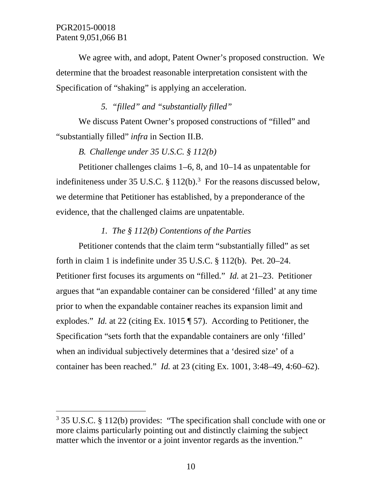We agree with, and adopt, Patent Owner's proposed construction. We determine that the broadest reasonable interpretation consistent with the Specification of "shaking" is applying an acceleration.

## *5. "filled" and "substantially filled"*

We discuss Patent Owner's proposed constructions of "filled" and "substantially filled" *infra* in Section II.B.

## *B. Challenge under 35 U.S.C. § 112(b)*

Petitioner challenges claims 1–6, 8, and 10–14 as unpatentable for indefiniteness under [3](#page-9-0)5 U.S.C.  $\S 112(b)$ .<sup>3</sup> For the reasons discussed below, we determine that Petitioner has established, by a preponderance of the evidence, that the challenged claims are unpatentable.

## *1. The § 112(b) Contentions of the Parties*

Petitioner contends that the claim term "substantially filled" as set forth in claim 1 is indefinite under 35 U.S.C. § 112(b). Pet. 20–24. Petitioner first focuses its arguments on "filled." *Id.* at 21–23. Petitioner argues that "an expandable container can be considered 'filled' at any time prior to when the expandable container reaches its expansion limit and explodes." *Id.* at 22 (citing Ex. 1015 ¶ 57). According to Petitioner, the Specification "sets forth that the expandable containers are only 'filled' when an individual subjectively determines that a 'desired size' of a container has been reached." *Id.* at 23 (citing Ex. 1001, 3:48–49, 4:60–62).

<span id="page-9-0"></span> <sup>3</sup> 35 U.S.C. § 112(b) provides: "The specification shall conclude with one or more claims particularly pointing out and distinctly claiming the subject matter which the inventor or a joint inventor regards as the invention."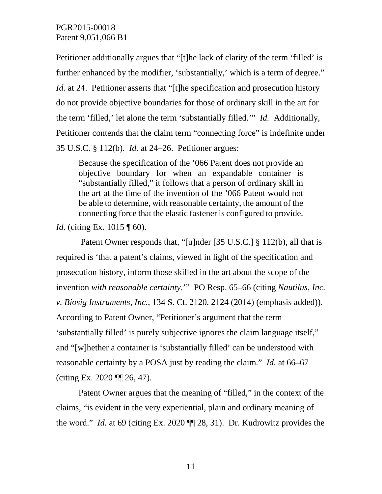Petitioner additionally argues that "[t]he lack of clarity of the term 'filled' is further enhanced by the modifier, 'substantially,' which is a term of degree." *Id.* at 24. Petitioner asserts that "[t]he specification and prosecution history do not provide objective boundaries for those of ordinary skill in the art for the term 'filled,' let alone the term 'substantially filled.'" *Id.* Additionally, Petitioner contends that the claim term "connecting force" is indefinite under 35 U.S.C. § 112(b). *Id.* at 24–26. Petitioner argues:

Because the specification of the '066 Patent does not provide an objective boundary for when an expandable container is "substantially filled," it follows that a person of ordinary skill in the art at the time of the invention of the '066 Patent would not be able to determine, with reasonable certainty, the amount of the connecting force that the elastic fastener is configured to provide.

*Id.* (citing Ex. 1015 ¶ 60).

Patent Owner responds that, "[u]nder [35 U.S.C.] § 112(b), all that is required is 'that a patent's claims, viewed in light of the specification and prosecution history, inform those skilled in the art about the scope of the invention *with reasonable certainty*.'" PO Resp. 65–66 (citing *Nautilus, Inc. v. Biosig Instruments, Inc.*, 134 S. Ct. 2120, 2124 (2014) (emphasis added)). According to Patent Owner, "Petitioner's argument that the term 'substantially filled' is purely subjective ignores the claim language itself," and "[w]hether a container is 'substantially filled' can be understood with reasonable certainty by a POSA just by reading the claim." *Id.* at 66–67 (citing Ex. 2020 ¶¶ 26, 47).

Patent Owner argues that the meaning of "filled," in the context of the claims, "is evident in the very experiential, plain and ordinary meaning of the word." *Id.* at 69 (citing Ex. 2020 ¶¶ 28, 31). Dr. Kudrowitz provides the

11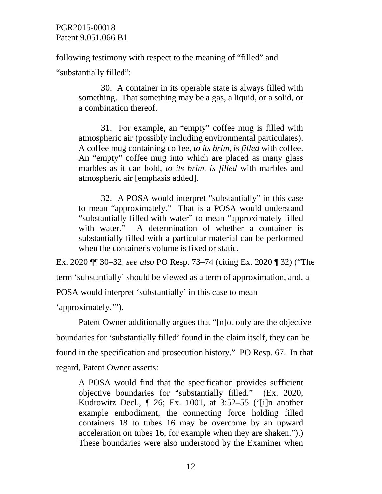following testimony with respect to the meaning of "filled" and

"substantially filled":

30. A container in its operable state is always filled with something. That something may be a gas, a liquid, or a solid, or a combination thereof.

31. For example, an "empty" coffee mug is filled with atmospheric air (possibly including environmental particulates). A coffee mug containing coffee, *to its brim, is filled* with coffee. An "empty" coffee mug into which are placed as many glass marbles as it can hold, *to its brim, is filled* with marbles and atmospheric air [emphasis added].

32. A POSA would interpret "substantially" in this case to mean "approximately." That is a POSA would understand "substantially filled with water" to mean "approximately filled with water." A determination of whether a container is substantially filled with a particular material can be performed when the container's volume is fixed or static.

Ex. 2020 ¶¶ 30–32; *see also* PO Resp. 73–74 (citing Ex. 2020 ¶ 32) ("The term 'substantially' should be viewed as a term of approximation, and, a POSA would interpret 'substantially' in this case to mean 'approximately.'").

Patent Owner additionally argues that "[n]ot only are the objective boundaries for 'substantially filled' found in the claim itself, they can be found in the specification and prosecution history." PO Resp. 67. In that regard, Patent Owner asserts:

A POSA would find that the specification provides sufficient objective boundaries for "substantially filled." (Ex. 2020, Kudrowitz Decl., ¶ 26; Ex. 1001, at 3:52–55 ("[i]n another example embodiment, the connecting force holding filled containers 18 to tubes 16 may be overcome by an upward acceleration on tubes 16, for example when they are shaken.").) These boundaries were also understood by the Examiner when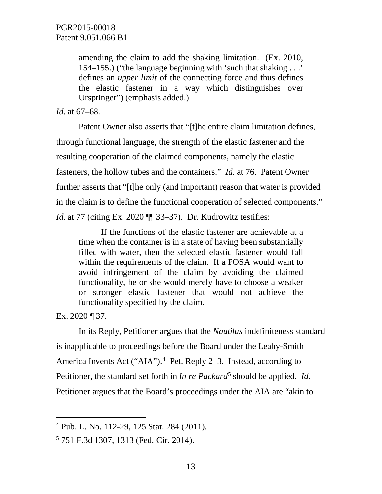amending the claim to add the shaking limitation. (Ex. 2010, 154–155.) ("the language beginning with 'such that shaking . . .' defines an *upper limit* of the connecting force and thus defines the elastic fastener in a way which distinguishes over Urspringer") (emphasis added.)

#### *Id.* at 67–68.

Patent Owner also asserts that "[t]he entire claim limitation defines, through functional language, the strength of the elastic fastener and the resulting cooperation of the claimed components, namely the elastic fasteners, the hollow tubes and the containers." *Id.* at 76. Patent Owner further asserts that "[t]he only (and important) reason that water is provided in the claim is to define the functional cooperation of selected components." *Id.* at 77 (citing Ex. 2020 ¶ 33–37). Dr. Kudrowitz testifies:

If the functions of the elastic fastener are achievable at a time when the container is in a state of having been substantially filled with water, then the selected elastic fastener would fall within the requirements of the claim. If a POSA would want to avoid infringement of the claim by avoiding the claimed functionality, he or she would merely have to choose a weaker or stronger elastic fastener that would not achieve the functionality specified by the claim.

Ex. 2020 ¶ 37.

In its Reply, Petitioner argues that the *Nautilus* indefiniteness standard is inapplicable to proceedings before the Board under the Leahy-Smith America Invents Act ("AIA").<sup>[4](#page-12-0)</sup> Pet. Reply 2-3. Instead, according to Petitioner, the standard set forth in *In re Packard*<sup>[5](#page-12-1)</sup> should be applied. *Id.* Petitioner argues that the Board's proceedings under the AIA are "akin to

<span id="page-12-0"></span> <sup>4</sup> Pub. L. No. 112-29, 125 Stat. 284 (2011).

<span id="page-12-1"></span><sup>5</sup> 751 F.3d 1307, 1313 (Fed. Cir. 2014).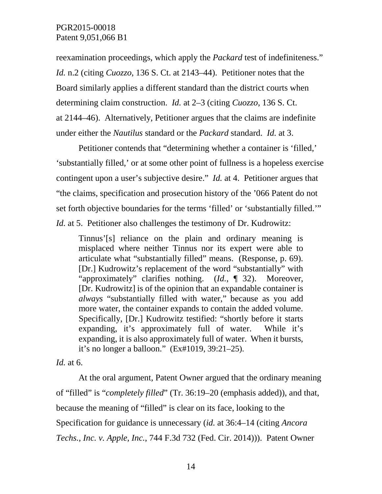reexamination proceedings, which apply the *Packard* test of indefiniteness." *Id.* n.2 (citing *Cuozzo*, 136 S. Ct. at 2143–44). Petitioner notes that the Board similarly applies a different standard than the district courts when determining claim construction. *Id.* at 2–3 (citing *Cuozzo*, 136 S. Ct. at 2144–46). Alternatively, Petitioner argues that the claims are indefinite under either the *Nautilus* standard or the *Packard* standard. *Id.* at 3.

Petitioner contends that "determining whether a container is 'filled,' 'substantially filled,' or at some other point of fullness is a hopeless exercise contingent upon a user's subjective desire." *Id.* at 4. Petitioner argues that "the claims, specification and prosecution history of the '066 Patent do not set forth objective boundaries for the terms 'filled' or 'substantially filled.'" *Id.* at 5. Petitioner also challenges the testimony of Dr. Kudrowitz:

Tinnus'[s] reliance on the plain and ordinary meaning is misplaced where neither Tinnus nor its expert were able to articulate what "substantially filled" means. (Response, p. 69). [Dr.] Kudrowitz's replacement of the word "substantially" with "approximately" clarifies nothing. (*Id.*, ¶ 32). Moreover, [Dr. Kudrowitz] is of the opinion that an expandable container is *always* "substantially filled with water," because as you add more water, the container expands to contain the added volume. Specifically, [Dr.] Kudrowitz testified: "shortly before it starts expanding, it's approximately full of water. While it's expanding, it is also approximately full of water. When it bursts, it's no longer a balloon." (Ex#1019, 39:21–25).

*Id.* at 6.

At the oral argument, Patent Owner argued that the ordinary meaning of "filled" is "*completely filled*" (Tr. 36:19–20 (emphasis added)), and that, because the meaning of "filled" is clear on its face, looking to the Specification for guidance is unnecessary (*id.* at 36:4–14 (citing *Ancora Techs., Inc. v. Apple, Inc.*, 744 F.3d 732 (Fed. Cir. 2014))). Patent Owner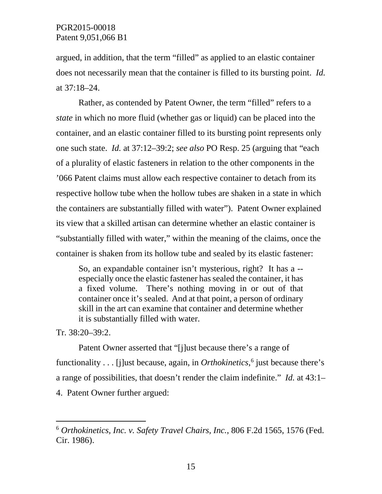argued, in addition, that the term "filled" as applied to an elastic container does not necessarily mean that the container is filled to its bursting point. *Id.*  at 37:18–24.

Rather, as contended by Patent Owner, the term "filled" refers to a *state* in which no more fluid (whether gas or liquid) can be placed into the container, and an elastic container filled to its bursting point represents only one such state. *Id.* at 37:12–39:2; *see also* PO Resp. 25 (arguing that "each of a plurality of elastic fasteners in relation to the other components in the '066 Patent claims must allow each respective container to detach from its respective hollow tube when the hollow tubes are shaken in a state in which the containers are substantially filled with water"). Patent Owner explained its view that a skilled artisan can determine whether an elastic container is "substantially filled with water," within the meaning of the claims, once the container is shaken from its hollow tube and sealed by its elastic fastener:

So, an expandable container isn't mysterious, right? It has a - especially once the elastic fastener has sealed the container, it has a fixed volume. There's nothing moving in or out of that container once it's sealed. And at that point, a person of ordinary skill in the art can examine that container and determine whether it is substantially filled with water.

Tr. 38:20–39:2.

Patent Owner asserted that "[j]ust because there's a range of functionality . . . [j]ust because, again, in *Orthokinetics*, [6](#page-14-0) just because there's a range of possibilities, that doesn't render the claim indefinite." *Id.* at 43:1– 4. Patent Owner further argued:

<span id="page-14-0"></span> <sup>6</sup> *Orthokinetics, Inc. v. Safety Travel Chairs, Inc.*, 806 F.2d 1565, 1576 (Fed. Cir. 1986).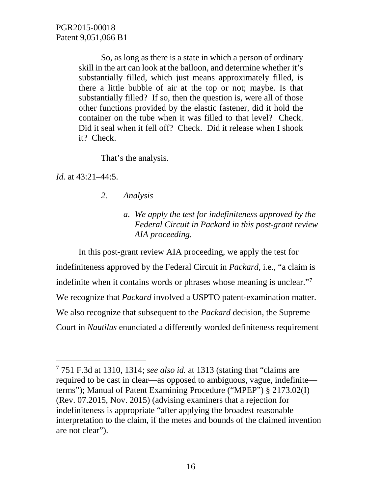So, as long as there is a state in which a person of ordinary skill in the art can look at the balloon, and determine whether it's substantially filled, which just means approximately filled, is there a little bubble of air at the top or not; maybe. Is that substantially filled? If so, then the question is, were all of those other functions provided by the elastic fastener, did it hold the container on the tube when it was filled to that level? Check. Did it seal when it fell off? Check. Did it release when I shook it? Check.

That's the analysis.

*Id.* at 43:21–44:5.

- *2. Analysis*
	- *a. We apply the test for indefiniteness approved by the Federal Circuit in Packard in this post-grant review AIA proceeding.*

In this post-grant review AIA proceeding, we apply the test for indefiniteness approved by the Federal Circuit in *Packard*, i.e., "a claim is indefinite when it contains words or phrases whose meaning is unclear."[7](#page-15-0) We recognize that *Packard* involved a USPTO patent-examination matter. We also recognize that subsequent to the *Packard* decision, the Supreme Court in *Nautilus* enunciated a differently worded definiteness requirement

<span id="page-15-0"></span> <sup>7</sup> 751 F.3d at 1310, 1314; *see also id.* at 1313 (stating that "claims are required to be cast in clear—as opposed to ambiguous, vague, indefinite terms"); Manual of Patent Examining Procedure ("MPEP") § 2173.02(I) (Rev. 07.2015, Nov. 2015) (advising examiners that a rejection for indefiniteness is appropriate "after applying the broadest reasonable interpretation to the claim, if the metes and bounds of the claimed invention are not clear").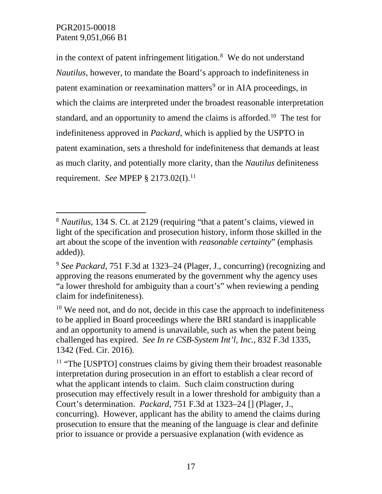in the context of patent infringement litigation. [8](#page-16-0) We do not understand *Nautilus*, however, to mandate the Board's approach to indefiniteness in patent examination or reexamination matters<sup>[9](#page-16-1)</sup> or in AIA proceedings, in which the claims are interpreted under the broadest reasonable interpretation standard, and an opportunity to amend the claims is afforded.<sup>[10](#page-16-2)</sup> The test for indefiniteness approved in *Packard*, which is applied by the USPTO in patent examination, sets a threshold for indefiniteness that demands at least as much clarity, and potentially more clarity, than the *Nautilus* definiteness requirement. *See* MPEP § 2173.02(I). [11](#page-16-3)

<span id="page-16-0"></span> <sup>8</sup> *Nautilus*, 134 S. Ct. at 2129 (requiring "that a patent's claims, viewed in light of the specification and prosecution history, inform those skilled in the art about the scope of the invention with *reasonable certainty*" (emphasis added)).

<span id="page-16-1"></span><sup>9</sup> *See Packard*, 751 F.3d at 1323–24 (Plager, J., concurring) (recognizing and approving the reasons enumerated by the government why the agency uses "a lower threshold for ambiguity than a court's" when reviewing a pending claim for indefiniteness).

<span id="page-16-2"></span><sup>&</sup>lt;sup>10</sup> We need not, and do not, decide in this case the approach to indefiniteness to be applied in Board proceedings where the BRI standard is inapplicable and an opportunity to amend is unavailable, such as when the patent being challenged has expired. *See In re CSB-System Int'l, Inc.*, 832 F.3d 1335, 1342 (Fed. Cir. 2016).

<span id="page-16-3"></span><sup>&</sup>lt;sup>11</sup> "The [USPTO] construes claims by giving them their broadest reasonable interpretation during prosecution in an effort to establish a clear record of what the applicant intends to claim. Such claim construction during prosecution may effectively result in a lower threshold for ambiguity than a Court's determination. *Packard*, 751 F.3d at 1323–24 [] (Plager, J., concurring). However, applicant has the ability to amend the claims during prosecution to ensure that the meaning of the language is clear and definite prior to issuance or provide a persuasive explanation (with evidence as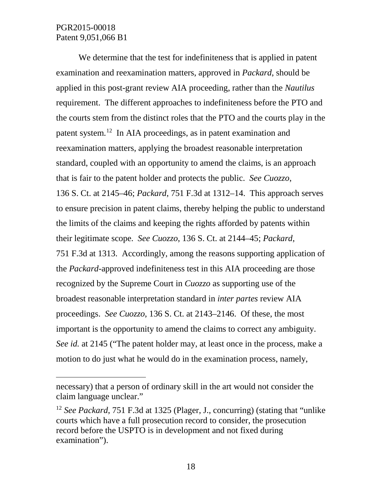$\overline{a}$ 

We determine that the test for indefiniteness that is applied in patent examination and reexamination matters, approved in *Packard*, should be applied in this post-grant review AIA proceeding, rather than the *Nautilus* requirement. The different approaches to indefiniteness before the PTO and the courts stem from the distinct roles that the PTO and the courts play in the patent system.[12](#page-17-0) In AIA proceedings, as in patent examination and reexamination matters, applying the broadest reasonable interpretation standard, coupled with an opportunity to amend the claims, is an approach that is fair to the patent holder and protects the public. *See Cuozzo*, 136 S. Ct. at 2145–46; *Packard*, 751 F.3d at 1312–14. This approach serves to ensure precision in patent claims, thereby helping the public to understand the limits of the claims and keeping the rights afforded by patents within their legitimate scope. *See Cuozzo*, 136 S. Ct. at 2144–45; *Packard*, 751 F.3d at 1313. Accordingly, among the reasons supporting application of the *Packard*-approved indefiniteness test in this AIA proceeding are those recognized by the Supreme Court in *Cuozzo* as supporting use of the broadest reasonable interpretation standard in *inter partes* review AIA proceedings. *See Cuozzo*, 136 S. Ct. at 2143–2146. Of these, the most important is the opportunity to amend the claims to correct any ambiguity. *See id.* at 2145 ("The patent holder may, at least once in the process, make a motion to do just what he would do in the examination process, namely,

necessary) that a person of ordinary skill in the art would not consider the claim language unclear."

<span id="page-17-0"></span><sup>12</sup> *See Packard*, 751 F.3d at 1325 (Plager, J., concurring) (stating that "unlike courts which have a full prosecution record to consider, the prosecution record before the USPTO is in development and not fixed during examination").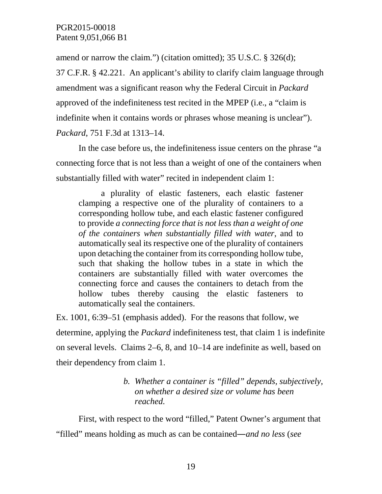amend or narrow the claim.") (citation omitted); 35 U.S.C. § 326(d);

37 C.F.R. § 42.221. An applicant's ability to clarify claim language through amendment was a significant reason why the Federal Circuit in *Packard* approved of the indefiniteness test recited in the MPEP (i.e., a "claim is indefinite when it contains words or phrases whose meaning is unclear"). *Packard*, 751 F.3d at 1313–14.

In the case before us, the indefiniteness issue centers on the phrase "a connecting force that is not less than a weight of one of the containers when substantially filled with water" recited in independent claim 1:

a plurality of elastic fasteners, each elastic fastener clamping a respective one of the plurality of containers to a corresponding hollow tube, and each elastic fastener configured to provide *a connecting force that is not less than a weight of one of the containers when substantially filled with water*, and to automatically seal its respective one of the plurality of containers upon detaching the container from its corresponding hollow tube, such that shaking the hollow tubes in a state in which the containers are substantially filled with water overcomes the connecting force and causes the containers to detach from the hollow tubes thereby causing the elastic fasteners to automatically seal the containers.

Ex. 1001, 6:39–51 (emphasis added). For the reasons that follow, we determine, applying the *Packard* indefiniteness test, that claim 1 is indefinite on several levels. Claims 2–6, 8, and 10–14 are indefinite as well, based on their dependency from claim 1.

## *b. Whether a container is "filled" depends, subjectively, on whether a desired size or volume has been reached.*

First, with respect to the word "filled," Patent Owner's argument that "filled" means holding as much as can be contained―*and no less* (*see*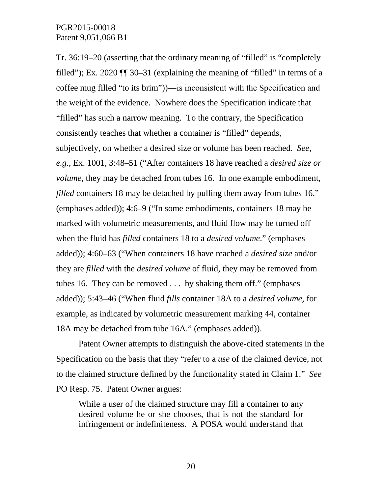Tr. 36:19–20 (asserting that the ordinary meaning of "filled" is "completely filled"); Ex. 2020 ¶¶ 30–31 (explaining the meaning of "filled" in terms of a coffee mug filled "to its brim"))―is inconsistent with the Specification and the weight of the evidence. Nowhere does the Specification indicate that "filled" has such a narrow meaning. To the contrary, the Specification consistently teaches that whether a container is "filled" depends, subjectively, on whether a desired size or volume has been reached. *See*, *e.g.*, Ex. 1001, 3:48–51 ("After containers 18 have reached a *desired size or volume*, they may be detached from tubes 16. In one example embodiment, *filled* containers 18 may be detached by pulling them away from tubes 16." (emphases added)); 4:6–9 ("In some embodiments, containers 18 may be marked with volumetric measurements, and fluid flow may be turned off when the fluid has *filled* containers 18 to a *desired volume*." (emphases added)); 4:60–63 ("When containers 18 have reached a *desired size* and/or they are *filled* with the *desired volume* of fluid, they may be removed from tubes 16. They can be removed . . . by shaking them off." (emphases added)); 5:43–46 ("When fluid *fills* container 18A to a *desired volume*, for example, as indicated by volumetric measurement marking 44, container 18A may be detached from tube 16A." (emphases added)).

Patent Owner attempts to distinguish the above-cited statements in the Specification on the basis that they "refer to a *use* of the claimed device, not to the claimed structure defined by the functionality stated in Claim 1." *See*  PO Resp. 75. Patent Owner argues:

While a user of the claimed structure may fill a container to any desired volume he or she chooses, that is not the standard for infringement or indefiniteness. A POSA would understand that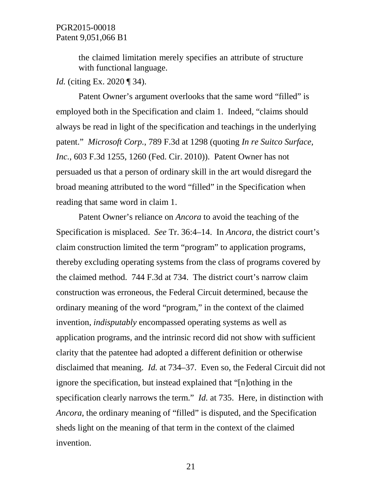the claimed limitation merely specifies an attribute of structure with functional language.

*Id.* (citing Ex. 2020 ¶ 34).

Patent Owner's argument overlooks that the same word "filled" is employed both in the Specification and claim 1. Indeed, "claims should always be read in light of the specification and teachings in the underlying patent." *Microsoft Corp.*, 789 F.3d at 1298 (quoting *In re Suitco Surface, Inc.*, 603 F.3d 1255, 1260 (Fed. Cir. 2010)). Patent Owner has not persuaded us that a person of ordinary skill in the art would disregard the broad meaning attributed to the word "filled" in the Specification when reading that same word in claim 1.

Patent Owner's reliance on *Ancora* to avoid the teaching of the Specification is misplaced. *See* Tr. 36:4–14. In *Ancora*, the district court's claim construction limited the term "program" to application programs, thereby excluding operating systems from the class of programs covered by the claimed method. 744 F.3d at 734. The district court's narrow claim construction was erroneous, the Federal Circuit determined, because the ordinary meaning of the word "program," in the context of the claimed invention, *indisputably* encompassed operating systems as well as application programs, and the intrinsic record did not show with sufficient clarity that the patentee had adopted a different definition or otherwise disclaimed that meaning. *Id.* at 734–37. Even so, the Federal Circuit did not ignore the specification, but instead explained that "[n]othing in the specification clearly narrows the term." *Id.* at 735. Here, in distinction with *Ancora*, the ordinary meaning of "filled" is disputed, and the Specification sheds light on the meaning of that term in the context of the claimed invention.

21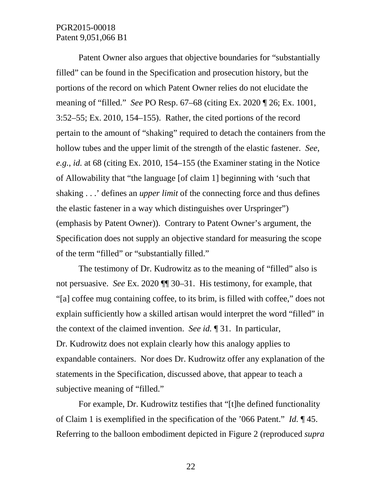Patent Owner also argues that objective boundaries for "substantially filled" can be found in the Specification and prosecution history, but the portions of the record on which Patent Owner relies do not elucidate the meaning of "filled." *See* PO Resp. 67–68 (citing Ex. 2020 ¶ 26; Ex. 1001, 3:52–55; Ex. 2010, 154–155). Rather, the cited portions of the record pertain to the amount of "shaking" required to detach the containers from the hollow tubes and the upper limit of the strength of the elastic fastener. *See*, *e.g.*, *id.* at 68 (citing Ex. 2010, 154–155 (the Examiner stating in the Notice of Allowability that "the language [of claim 1] beginning with 'such that shaking . . .' defines an *upper limit* of the connecting force and thus defines the elastic fastener in a way which distinguishes over Urspringer") (emphasis by Patent Owner)). Contrary to Patent Owner's argument, the Specification does not supply an objective standard for measuring the scope of the term "filled" or "substantially filled."

The testimony of Dr. Kudrowitz as to the meaning of "filled" also is not persuasive. *See* Ex. 2020 ¶¶ 30–31. His testimony, for example, that "[a] coffee mug containing coffee, to its brim, is filled with coffee," does not explain sufficiently how a skilled artisan would interpret the word "filled" in the context of the claimed invention. *See id.* ¶ 31. In particular, Dr. Kudrowitz does not explain clearly how this analogy applies to expandable containers. Nor does Dr. Kudrowitz offer any explanation of the statements in the Specification, discussed above, that appear to teach a subjective meaning of "filled."

For example, Dr. Kudrowitz testifies that "[t]he defined functionality of Claim 1 is exemplified in the specification of the '066 Patent." *Id.* ¶ 45. Referring to the balloon embodiment depicted in Figure 2 (reproduced *supra*

22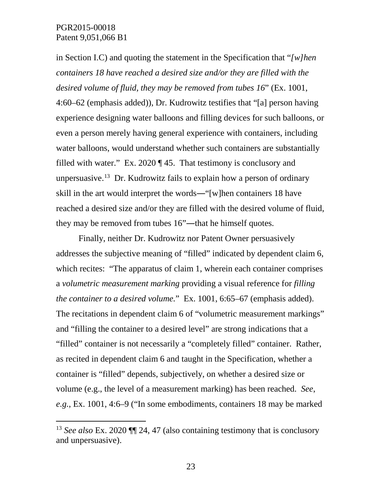in Section I.C) and quoting the statement in the Specification that "*[w]hen containers 18 have reached a desired size and/or they are filled with the desired volume of fluid, they may be removed from tubes 16*" (Ex. 1001,

4:60–62 (emphasis added)), Dr. Kudrowitz testifies that "[a] person having experience designing water balloons and filling devices for such balloons, or even a person merely having general experience with containers, including water balloons, would understand whether such containers are substantially filled with water." Ex. 2020  $\P$  45. That testimony is conclusory and unpersuasive.<sup>[13](#page-22-0)</sup> Dr. Kudrowitz fails to explain how a person of ordinary skill in the art would interpret the words―"[w]hen containers 18 have reached a desired size and/or they are filled with the desired volume of fluid, they may be removed from tubes 16"―that he himself quotes.

Finally, neither Dr. Kudrowitz nor Patent Owner persuasively addresses the subjective meaning of "filled" indicated by dependent claim 6, which recites: "The apparatus of claim 1, wherein each container comprises a *volumetric measurement marking* providing a visual reference for *filling the container to a desired volume.*"Ex. 1001, 6:65–67 (emphasis added). The recitations in dependent claim 6 of "volumetric measurement markings" and "filling the container to a desired level" are strong indications that a "filled" container is not necessarily a "completely filled" container. Rather, as recited in dependent claim 6 and taught in the Specification, whether a container is "filled" depends, subjectively, on whether a desired size or volume (e.g., the level of a measurement marking) has been reached. *See*, *e.g.*, Ex. 1001, 4:6–9 ("In some embodiments, containers 18 may be marked

<span id="page-22-0"></span> <sup>13</sup> *See also* Ex. 2020 ¶¶ 24, 47 (also containing testimony that is conclusory and unpersuasive).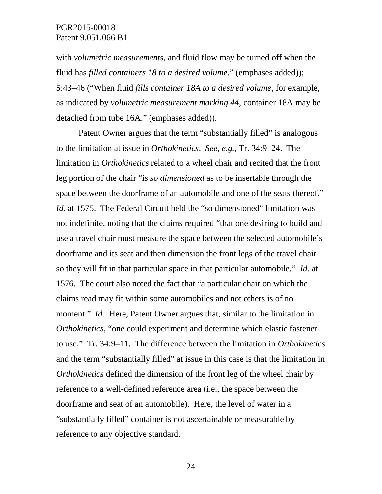with *volumetric measurements*, and fluid flow may be turned off when the fluid has *filled containers 18 to a desired volume*." (emphases added)); 5:43–46 ("When fluid *fills container 18A to a desired volume*, for example, as indicated by *volumetric measurement marking 44*, container 18A may be detached from tube 16A." (emphases added)).

Patent Owner argues that the term "substantially filled" is analogous to the limitation at issue in *Orthokinetics*. *See*, *e.g.*, Tr. 34:9–24. The limitation in *Orthokinetics* related to a wheel chair and recited that the front leg portion of the chair "is *so dimensioned* as to be insertable through the space between the doorframe of an automobile and one of the seats thereof." *Id.* at 1575. The Federal Circuit held the "so dimensioned" limitation was not indefinite, noting that the claims required "that one desiring to build and use a travel chair must measure the space between the selected automobile's doorframe and its seat and then dimension the front legs of the travel chair so they will fit in that particular space in that particular automobile." *Id.* at 1576. The court also noted the fact that "a particular chair on which the claims read may fit within some automobiles and not others is of no moment." *Id.* Here, Patent Owner argues that, similar to the limitation in *Orthokinetics*, "one could experiment and determine which elastic fastener to use." Tr. 34:9–11. The difference between the limitation in *Orthokinetics* and the term "substantially filled" at issue in this case is that the limitation in *Orthokinetics* defined the dimension of the front leg of the wheel chair by reference to a well-defined reference area (i.e., the space between the doorframe and seat of an automobile). Here, the level of water in a "substantially filled" container is not ascertainable or measurable by reference to any objective standard.

24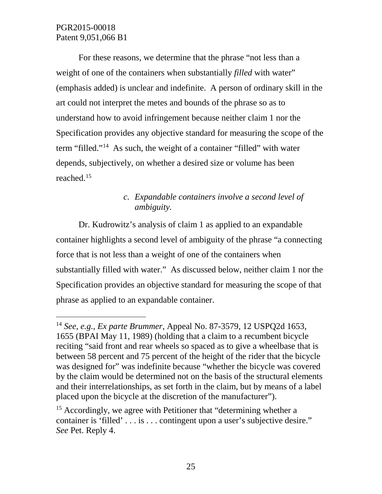For these reasons, we determine that the phrase "not less than a weight of one of the containers when substantially *filled* with water" (emphasis added) is unclear and indefinite. A person of ordinary skill in the art could not interpret the metes and bounds of the phrase so as to understand how to avoid infringement because neither claim 1 nor the Specification provides any objective standard for measuring the scope of the term "filled."[14](#page-24-0) As such, the weight of a container "filled" with water depends, subjectively, on whether a desired size or volume has been reached.[15](#page-24-1) 

# *c. Expandable containers involve a second level of ambiguity.*

Dr. Kudrowitz's analysis of claim 1 as applied to an expandable container highlights a second level of ambiguity of the phrase "a connecting force that is not less than a weight of one of the containers when substantially filled with water." As discussed below, neither claim 1 nor the Specification provides an objective standard for measuring the scope of that phrase as applied to an expandable container.

<span id="page-24-0"></span> <sup>14</sup> *See*, *e.g.*, *Ex parte Brummer*, Appeal No. 87-3579, 12 USPQ2d 1653, 1655 (BPAI May 11, 1989) (holding that a claim to a recumbent bicycle reciting "said front and rear wheels so spaced as to give a wheelbase that is between 58 percent and 75 percent of the height of the rider that the bicycle was designed for" was indefinite because "whether the bicycle was covered by the claim would be determined not on the basis of the structural elements and their interrelationships, as set forth in the claim, but by means of a label placed upon the bicycle at the discretion of the manufacturer").

<span id="page-24-1"></span><sup>&</sup>lt;sup>15</sup> Accordingly, we agree with Petitioner that "determining whether a container is 'filled' . . . is . . . contingent upon a user's subjective desire." *See* Pet. Reply 4.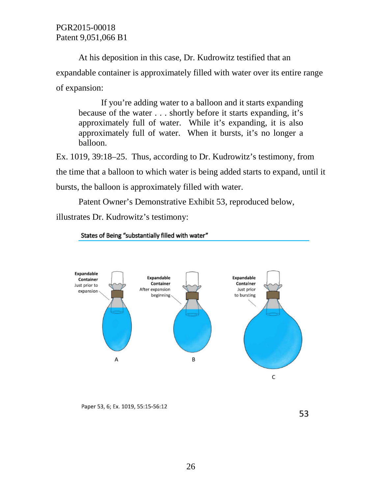At his deposition in this case, Dr. Kudrowitz testified that an expandable container is approximately filled with water over its entire range of expansion:

If you're adding water to a balloon and it starts expanding because of the water . . . shortly before it starts expanding, it's approximately full of water. While it's expanding, it is also approximately full of water. When it bursts, it's no longer a balloon.

Ex. 1019, 39:18–25. Thus, according to Dr. Kudrowitz's testimony, from the time that a balloon to which water is being added starts to expand, until it bursts, the balloon is approximately filled with water.

Patent Owner's Demonstrative Exhibit 53, reproduced below,

illustrates Dr. Kudrowitz's testimony:



States of Being "substantially filled with water"

Paper 53, 6; Ex. 1019, 55:15-56:12

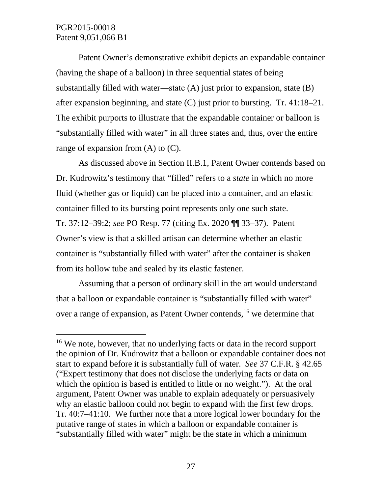Patent Owner's demonstrative exhibit depicts an expandable container (having the shape of a balloon) in three sequential states of being substantially filled with water—state  $(A)$  just prior to expansion, state  $(B)$ after expansion beginning, and state (C) just prior to bursting. Tr. 41:18–21. The exhibit purports to illustrate that the expandable container or balloon is "substantially filled with water" in all three states and, thus, over the entire range of expansion from  $(A)$  to  $(C)$ .

As discussed above in Section II.B.1, Patent Owner contends based on Dr. Kudrowitz's testimony that "filled" refers to a *state* in which no more fluid (whether gas or liquid) can be placed into a container, and an elastic container filled to its bursting point represents only one such state. Tr. 37:12–39:2; *see* PO Resp. 77 (citing Ex. 2020 ¶¶ 33–37). Patent Owner's view is that a skilled artisan can determine whether an elastic container is "substantially filled with water" after the container is shaken from its hollow tube and sealed by its elastic fastener.

Assuming that a person of ordinary skill in the art would understand that a balloon or expandable container is "substantially filled with water" over a range of expansion, as Patent Owner contends, [16](#page-26-0) we determine that

<span id="page-26-0"></span><sup>&</sup>lt;sup>16</sup> We note, however, that no underlying facts or data in the record support the opinion of Dr. Kudrowitz that a balloon or expandable container does not start to expand before it is substantially full of water. *See* 37 C.F.R. § 42.65 ("Expert testimony that does not disclose the underlying facts or data on which the opinion is based is entitled to little or no weight."). At the oral argument, Patent Owner was unable to explain adequately or persuasively why an elastic balloon could not begin to expand with the first few drops. Tr. 40:7–41:10. We further note that a more logical lower boundary for the putative range of states in which a balloon or expandable container is "substantially filled with water" might be the state in which a minimum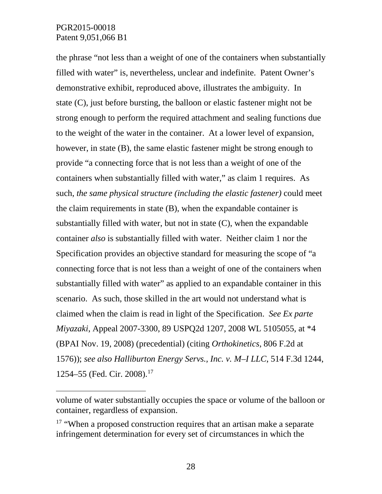$\overline{a}$ 

the phrase "not less than a weight of one of the containers when substantially filled with water" is, nevertheless, unclear and indefinite. Patent Owner's demonstrative exhibit, reproduced above, illustrates the ambiguity. In state (C), just before bursting, the balloon or elastic fastener might not be strong enough to perform the required attachment and sealing functions due to the weight of the water in the container. At a lower level of expansion, however, in state (B), the same elastic fastener might be strong enough to provide "a connecting force that is not less than a weight of one of the containers when substantially filled with water," as claim 1 requires. As such, *the same physical structure (including the elastic fastener)* could meet the claim requirements in state (B), when the expandable container is substantially filled with water, but not in state (C), when the expandable container *also* is substantially filled with water. Neither claim 1 nor the Specification provides an objective standard for measuring the scope of "a connecting force that is not less than a weight of one of the containers when substantially filled with water" as applied to an expandable container in this scenario. As such, those skilled in the art would not understand what is claimed when the claim is read in light of the Specification. *See Ex parte Miyazaki*, Appeal 2007-3300, 89 USPQ2d 1207, 2008 WL 5105055, at \*4 (BPAI Nov. 19, 2008) (precedential) (citing *Orthokinetics*, 806 F.2d at 1576)); *see also Halliburton Energy Servs., Inc. v. M–I LLC*, 514 F.3d 1244, 1254–55 (Fed. Cir. 2008). [17](#page-27-0) 

volume of water substantially occupies the space or volume of the balloon or container, regardless of expansion.

<span id="page-27-0"></span><sup>&</sup>lt;sup>17</sup> "When a proposed construction requires that an artisan make a separate infringement determination for every set of circumstances in which the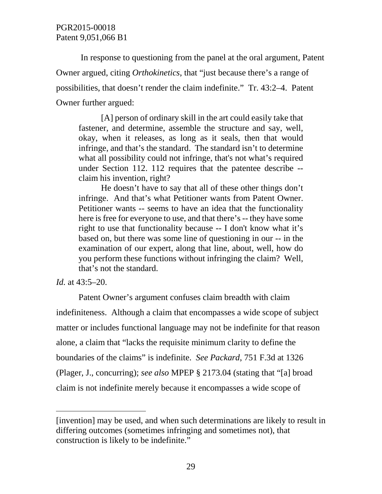In response to questioning from the panel at the oral argument, Patent Owner argued, citing *Orthokinetics*, that "just because there's a range of possibilities, that doesn't render the claim indefinite." Tr. 43:2–4. Patent Owner further argued:

[A] person of ordinary skill in the art could easily take that fastener, and determine, assemble the structure and say, well, okay, when it releases, as long as it seals, then that would infringe, and that's the standard. The standard isn't to determine what all possibility could not infringe, that's not what's required under Section 112. 112 requires that the patentee describe - claim his invention, right?

He doesn't have to say that all of these other things don't infringe. And that's what Petitioner wants from Patent Owner. Petitioner wants -- seems to have an idea that the functionality here is free for everyone to use, and that there's -- they have some right to use that functionality because -- I don't know what it's based on, but there was some line of questioning in our -- in the examination of our expert, along that line, about, well, how do you perform these functions without infringing the claim? Well, that's not the standard.

*Id.* at 43:5–20.

 $\overline{a}$ 

Patent Owner's argument confuses claim breadth with claim indefiniteness. Although a claim that encompasses a wide scope of subject matter or includes functional language may not be indefinite for that reason alone, a claim that "lacks the requisite minimum clarity to define the boundaries of the claims" is indefinite. *See Packard*, 751 F.3d at 1326 (Plager, J., concurring); *see also* MPEP § 2173.04 (stating that "[a] broad claim is not indefinite merely because it encompasses a wide scope of

<sup>[</sup>invention] may be used, and when such determinations are likely to result in differing outcomes (sometimes infringing and sometimes not), that construction is likely to be indefinite."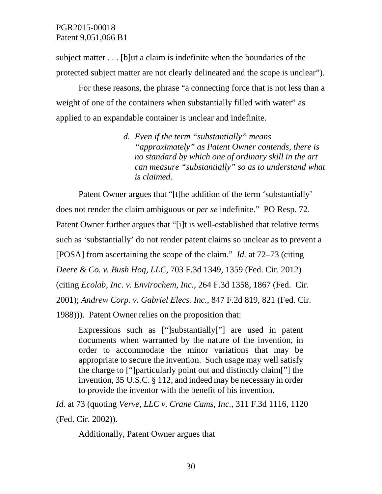subject matter . . . [b]ut a claim is indefinite when the boundaries of the protected subject matter are not clearly delineated and the scope is unclear").

For these reasons, the phrase "a connecting force that is not less than a weight of one of the containers when substantially filled with water" as applied to an expandable container is unclear and indefinite.

> *d. Even if the term "substantially" means "approximately" as Patent Owner contends, there is no standard by which one of ordinary skill in the art can measure "substantially" so as to understand what is claimed.*

Patent Owner argues that "[t]he addition of the term 'substantially' does not render the claim ambiguous or *per se* indefinite." PO Resp. 72. Patent Owner further argues that "[i]t is well-established that relative terms such as 'substantially' do not render patent claims so unclear as to prevent a [POSA] from ascertaining the scope of the claim." *Id.* at 72–73 (citing *Deere & Co. v. Bush Hog, LLC*, 703 F.3d 1349, 1359 (Fed. Cir. 2012) (citing *Ecolab, Inc. v. Envirochem, Inc.*, 264 F.3d 1358, 1867 (Fed. Cir. 2001); *Andrew Corp. v. Gabriel Elecs. Inc.*, 847 F.2d 819, 821 (Fed. Cir. 1988))). Patent Owner relies on the proposition that:

Expressions such as ["]substantially["] are used in patent documents when warranted by the nature of the invention, in order to accommodate the minor variations that may be appropriate to secure the invention. Such usage may well satisfy the charge to ["]particularly point out and distinctly claim["] the invention, 35 U.S.C. § 112, and indeed may be necessary in order to provide the inventor with the benefit of his invention.

*Id.* at 73 (quoting *Verve, LLC v. Crane Cams, Inc.*, 311 F.3d 1116, 1120 (Fed. Cir. 2002)).

Additionally, Patent Owner argues that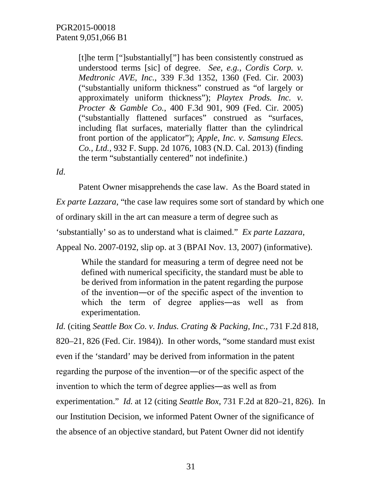[t]he term ["]substantially["] has been consistently construed as understood terms [sic] of degree. *See*, *e.g.*, *Cordis Corp. v. Medtronic AVE, Inc.*, 339 F.3d 1352, 1360 (Fed. Cir. 2003) ("substantially uniform thickness" construed as "of largely or approximately uniform thickness"); *Playtex Prods. Inc. v. Procter & Gamble Co.*, 400 F.3d 901, 909 (Fed. Cir. 2005) ("substantially flattened surfaces" construed as "surfaces, including flat surfaces, materially flatter than the cylindrical front portion of the applicator"); *Apple, Inc. v. Samsung Elecs. Co., Ltd.*, 932 F. Supp. 2d 1076, 1083 (N.D. Cal. 2013) (finding the term "substantially centered" not indefinite.)

*Id.*

Patent Owner misapprehends the case law. As the Board stated in

*Ex parte Lazzara*, "the case law requires some sort of standard by which one

of ordinary skill in the art can measure a term of degree such as

'substantially' so as to understand what is claimed." *Ex parte Lazzara*,

Appeal No. 2007-0192, slip op. at 3 (BPAI Nov. 13, 2007) (informative).

While the standard for measuring a term of degree need not be defined with numerical specificity, the standard must be able to be derived from information in the patent regarding the purpose of the invention―or of the specific aspect of the invention to which the term of degree applies—as well as from experimentation.

*Id.* (citing *Seattle Box Co. v. Indus. Crating & Packing, Inc.*, 731 F.2d 818, 820–21, 826 (Fed. Cir. 1984)). In other words, "some standard must exist even if the 'standard' may be derived from information in the patent regarding the purpose of the invention―or of the specific aspect of the invention to which the term of degree applies―as well as from experimentation." *Id.* at 12 (citing *Seattle Box*, 731 F.2d at 820–21, 826). In our Institution Decision, we informed Patent Owner of the significance of the absence of an objective standard, but Patent Owner did not identify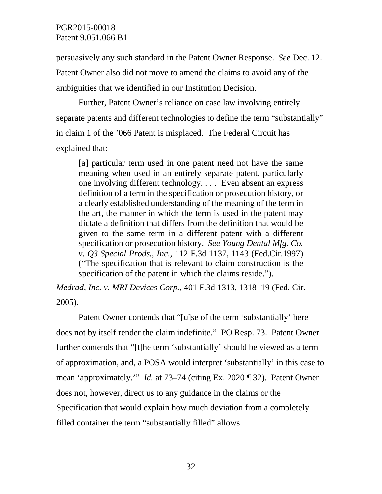persuasively any such standard in the Patent Owner Response. *See* Dec. 12. Patent Owner also did not move to amend the claims to avoid any of the ambiguities that we identified in our Institution Decision.

Further, Patent Owner's reliance on case law involving entirely separate patents and different technologies to define the term "substantially" in claim 1 of the '066 Patent is misplaced. The Federal Circuit has explained that:

[a] particular term used in one patent need not have the same meaning when used in an entirely separate patent, particularly one involving different technology. . . . Even absent an express definition of a term in the specification or prosecution history, or a clearly established understanding of the meaning of the term in the art, the manner in which the term is used in the patent may dictate a definition that differs from the definition that would be given to the same term in a different patent with a different specification or prosecution history. *See Young Dental Mfg. Co. v. Q3 Special Prods., Inc.*, 112 F.3d 1137, 1143 (Fed.Cir.1997) ("The specification that is relevant to claim construction is the specification of the patent in which the claims reside.").

*Medrad, Inc. v. MRI Devices Corp.*, 401 F.3d 1313, 1318–19 (Fed. Cir. 2005).

Patent Owner contends that "[u]se of the term 'substantially' here does not by itself render the claim indefinite." PO Resp. 73.Patent Owner further contends that "[t]he term 'substantially' should be viewed as a term of approximation, and, a POSA would interpret 'substantially' in this case to mean 'approximately.'" *Id.* at 73–74 (citing Ex. 2020 ¶ 32). Patent Owner does not, however, direct us to any guidance in the claims or the Specification that would explain how much deviation from a completely filled container the term "substantially filled" allows.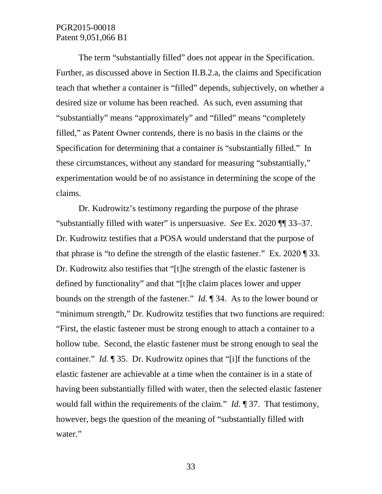The term "substantially filled" does not appear in the Specification. Further, as discussed above in Section II.B.2.a, the claims and Specification teach that whether a container is "filled" depends, subjectively, on whether a desired size or volume has been reached. As such, even assuming that "substantially" means "approximately" and "filled" means "completely filled," as Patent Owner contends, there is no basis in the claims or the Specification for determining that a container is "substantially filled." In these circumstances, without any standard for measuring "substantially," experimentation would be of no assistance in determining the scope of the claims.

Dr. Kudrowitz's testimony regarding the purpose of the phrase "substantially filled with water" is unpersuasive. *See* Ex. 2020 ¶¶ 33–37. Dr. Kudrowitz testifies that a POSA would understand that the purpose of that phrase is "to define the strength of the elastic fastener." Ex. 2020 ¶ 33. Dr. Kudrowitz also testifies that "[t]he strength of the elastic fastener is defined by functionality" and that "[t]he claim places lower and upper bounds on the strength of the fastener." *Id.* ¶ 34. As to the lower bound or "minimum strength," Dr. Kudrowitz testifies that two functions are required: "First, the elastic fastener must be strong enough to attach a container to a hollow tube. Second, the elastic fastener must be strong enough to seal the container." *Id.* ¶ 35. Dr. Kudrowitz opines that "[i]f the functions of the elastic fastener are achievable at a time when the container is in a state of having been substantially filled with water, then the selected elastic fastener would fall within the requirements of the claim." *Id.* ¶ 37. That testimony, however, begs the question of the meaning of "substantially filled with water."

33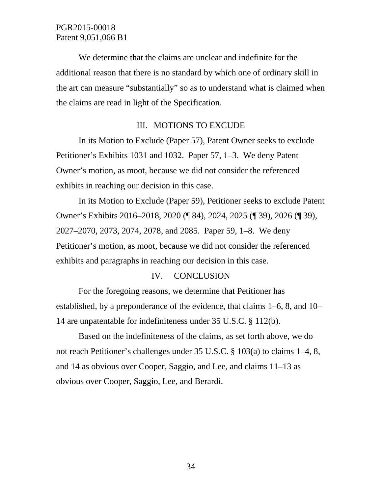We determine that the claims are unclear and indefinite for the additional reason that there is no standard by which one of ordinary skill in the art can measure "substantially" so as to understand what is claimed when the claims are read in light of the Specification.

## III. MOTIONS TO EXCUDE

In its Motion to Exclude (Paper 57), Patent Owner seeks to exclude Petitioner's Exhibits 1031 and 1032. Paper 57, 1–3. We deny Patent Owner's motion, as moot, because we did not consider the referenced exhibits in reaching our decision in this case.

In its Motion to Exclude (Paper 59), Petitioner seeks to exclude Patent Owner's Exhibits 2016–2018, 2020 (¶ 84), 2024, 2025 (¶ 39), 2026 (¶ 39), 2027–2070, 2073, 2074, 2078, and 2085. Paper 59, 1–8. We deny Petitioner's motion, as moot, because we did not consider the referenced exhibits and paragraphs in reaching our decision in this case.

#### IV. CONCLUSION

For the foregoing reasons, we determine that Petitioner has established, by a preponderance of the evidence, that claims 1–6, 8, and 10– 14 are unpatentable for indefiniteness under 35 U.S.C. § 112(b).

Based on the indefiniteness of the claims, as set forth above, we do not reach Petitioner's challenges under 35 U.S.C. § 103(a) to claims 1–4, 8, and 14 as obvious over Cooper, Saggio, and Lee, and claims 11–13 as obvious over Cooper, Saggio, Lee, and Berardi.

34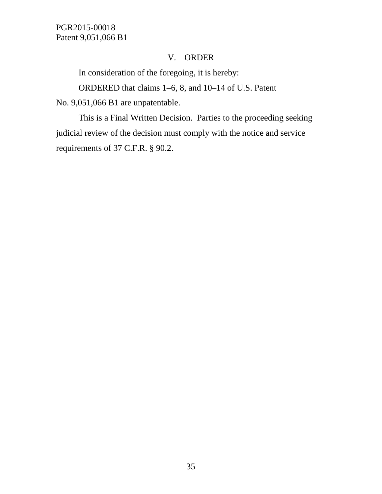## V. ORDER

In consideration of the foregoing, it is hereby:

ORDERED that claims 1–6, 8, and 10–14 of U.S. Patent

No. 9,051,066 B1 are unpatentable.

This is a Final Written Decision. Parties to the proceeding seeking judicial review of the decision must comply with the notice and service requirements of 37 C.F.R. § 90.2.